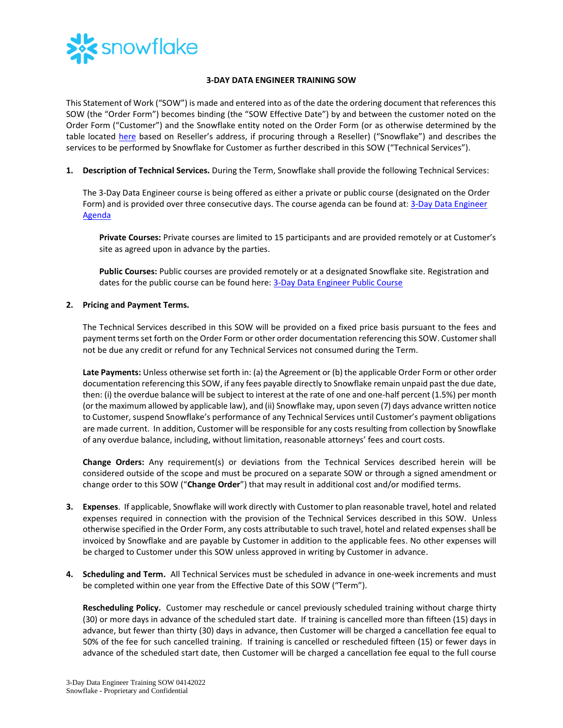

## **3-DAY DATA ENGINEER TRAINING SOW**

This Statement of Work ("SOW") is made and entered into as of the date the ordering document that references this SOW (the "Order Form") becomes binding (the "SOW Effective Date") by and between the customer noted on the Order Form ("Customer") and the Snowflake entity noted on the Order Form (or as otherwise determined by the table located [here](https://www.snowflake.com/legal/snowflake-contracting-entities/) based on Reseller's address, if procuring through a Reseller) ("Snowflake") and describes the services to be performed by Snowflake for Customer as further described in this SOW ("Technical Services").

**1. Description of Technical Services.** During the Term, Snowflake shall provide the following Technical Services:

The 3-Day Data Engineer course is being offered as either a private or public course (designated on the Order Form) and is provided over three consecutive days. The course agenda can be found at: [3-Day Data Engineer](https://bit.ly/DE3Day-datasheet)  [Agenda](https://bit.ly/DE3Day-datasheet)

**Private Courses:** Private courses are limited to 15 participants and are provided remotely or at Customer's site as agreed upon in advance by the parties.

**Public Courses:** Public courses are provided remotely or at a designated Snowflake site. Registration and dates for the public course can be found here: [3-Day Data Engineer Public Course](https://training.snowflake.com/schedule) 

## **2. Pricing and Payment Terms.**

The Technical Services described in this SOW will be provided on a fixed price basis pursuant to the fees and payment termsset forth on the Order Form or other order documentation referencing this SOW. Customer shall not be due any credit or refund for any Technical Services not consumed during the Term.

**Late Payments:** Unless otherwise set forth in: (a) the Agreement or (b) the applicable Order Form or other order documentation referencing this SOW, if any fees payable directly to Snowflake remain unpaid past the due date, then: (i) the overdue balance will be subject to interest at the rate of one and one-half percent (1.5%) per month (or the maximum allowed by applicable law), and (ii) Snowflake may, upon seven (7) days advance written notice to Customer, suspend Snowflake's performance of any Technical Services until Customer's payment obligations are made current. In addition, Customer will be responsible for any costs resulting from collection by Snowflake of any overdue balance, including, without limitation, reasonable attorneys' fees and court costs.

**Change Orders:** Any requirement(s) or deviations from the Technical Services described herein will be considered outside of the scope and must be procured on a separate SOW or through a signed amendment or change order to this SOW ("**Change Order**") that may result in additional cost and/or modified terms.

- **3. Expenses**. If applicable, Snowflake will work directly with Customer to plan reasonable travel, hotel and related expenses required in connection with the provision of the Technical Services described in this SOW. Unless otherwise specified in the Order Form, any costs attributable to such travel, hotel and related expenses shall be invoiced by Snowflake and are payable by Customer in addition to the applicable fees. No other expenses will be charged to Customer under this SOW unless approved in writing by Customer in advance.
- **4. Scheduling and Term.** All Technical Services must be scheduled in advance in one-week increments and must be completed within one year from the Effective Date of this SOW ("Term").

**Rescheduling Policy.** Customer may reschedule or cancel previously scheduled training without charge thirty (30) or more days in advance of the scheduled start date. If training is cancelled more than fifteen (15) days in advance, but fewer than thirty (30) days in advance, then Customer will be charged a cancellation fee equal to 50% of the fee for such cancelled training. If training is cancelled or rescheduled fifteen (15) or fewer days in advance of the scheduled start date, then Customer will be charged a cancellation fee equal to the full course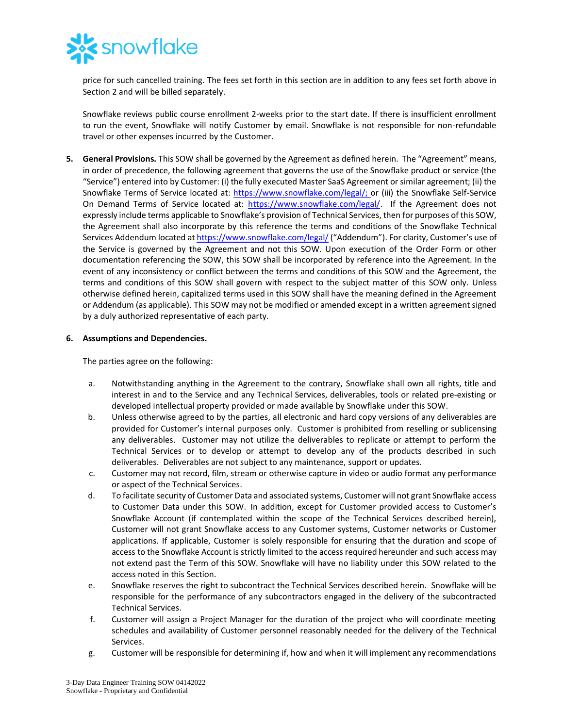

price for such cancelled training. The fees set forth in this section are in addition to any fees set forth above in Section 2 and will be billed separately.

Snowflake reviews public course enrollment 2-weeks prior to the start date. If there is insufficient enrollment to run the event, Snowflake will notify Customer by email. Snowflake is not responsible for non-refundable travel or other expenses incurred by the Customer.

**5. General Provisions.** This SOW shall be governed by the Agreement as defined herein. The "Agreement" means, in order of precedence, the following agreement that governs the use of the Snowflake product or service (the "Service") entered into by Customer: (i) the fully executed Master SaaS Agreement or similar agreement; (ii) the Snowflake Terms of Service located at: [https://www.snowflake.com/legal/;](https://www.snowflake.com/legal/) or (iii) the Snowflake Self-Service On Demand Terms of Service located at: [https://www.snowflake.com/legal/.](https://www.snowflake.com/legal/) If the Agreement does not expressly include terms applicable to Snowflake's provision of Technical Services, then for purposes of this SOW, the Agreement shall also incorporate by this reference the terms and conditions of the Snowflake Technical Services Addendum located a[t https://www.snowflake.com/legal/](https://www.snowflake.com/legal/) ("Addendum"). For clarity, Customer's use of the Service is governed by the Agreement and not this SOW. Upon execution of the Order Form or other documentation referencing the SOW, this SOW shall be incorporated by reference into the Agreement. In the event of any inconsistency or conflict between the terms and conditions of this SOW and the Agreement, the terms and conditions of this SOW shall govern with respect to the subject matter of this SOW only. Unless otherwise defined herein, capitalized terms used in this SOW shall have the meaning defined in the Agreement or Addendum (as applicable). This SOW may not be modified or amended except in a written agreement signed by a duly authorized representative of each party.

## **6. Assumptions and Dependencies.**

The parties agree on the following:

- a. Notwithstanding anything in the Agreement to the contrary, Snowflake shall own all rights, title and interest in and to the Service and any Technical Services, deliverables, tools or related pre-existing or developed intellectual property provided or made available by Snowflake under this SOW.
- b. Unless otherwise agreed to by the parties, all electronic and hard copy versions of any deliverables are provided for Customer's internal purposes only. Customer is prohibited from reselling or sublicensing any deliverables. Customer may not utilize the deliverables to replicate or attempt to perform the Technical Services or to develop or attempt to develop any of the products described in such deliverables. Deliverables are not subject to any maintenance, support or updates.
- c. Customer may not record, film, stream or otherwise capture in video or audio format any performance or aspect of the Technical Services.
- d. To facilitate security of Customer Data and associated systems, Customer will not grant Snowflake access to Customer Data under this SOW. In addition, except for Customer provided access to Customer's Snowflake Account (if contemplated within the scope of the Technical Services described herein), Customer will not grant Snowflake access to any Customer systems, Customer networks or Customer applications. If applicable, Customer is solely responsible for ensuring that the duration and scope of access to the Snowflake Account is strictly limited to the access required hereunder and such access may not extend past the Term of this SOW. Snowflake will have no liability under this SOW related to the access noted in this Section.
- e. Snowflake reserves the right to subcontract the Technical Services described herein. Snowflake will be responsible for the performance of any subcontractors engaged in the delivery of the subcontracted Technical Services.
- f. Customer will assign a Project Manager for the duration of the project who will coordinate meeting schedules and availability of Customer personnel reasonably needed for the delivery of the Technical Services.
- g. Customer will be responsible for determining if, how and when it will implement any recommendations